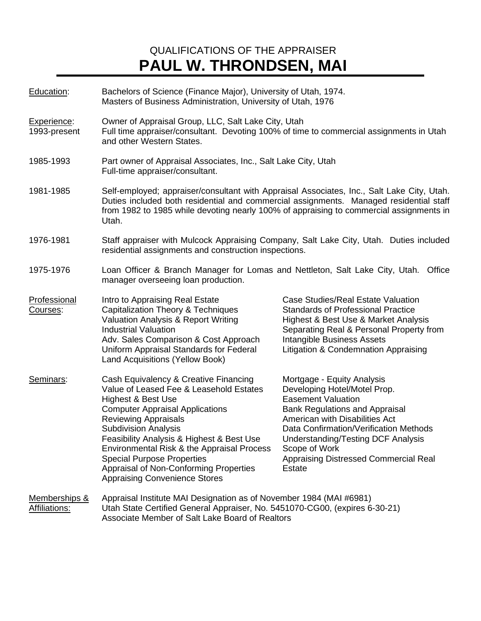## QUALIFICATIONS OF THE APPRAISER **PAUL W. THRONDSEN, MAI**

| Education:                            | Bachelors of Science (Finance Major), University of Utah, 1974.<br>Masters of Business Administration, University of Utah, 1976                                                                                                                                                                                                                                                                                                  |                                                                                                                                                                                                                                                                                                                                      |  |
|---------------------------------------|----------------------------------------------------------------------------------------------------------------------------------------------------------------------------------------------------------------------------------------------------------------------------------------------------------------------------------------------------------------------------------------------------------------------------------|--------------------------------------------------------------------------------------------------------------------------------------------------------------------------------------------------------------------------------------------------------------------------------------------------------------------------------------|--|
| Experience:<br>1993-present           | Owner of Appraisal Group, LLC, Salt Lake City, Utah<br>Full time appraiser/consultant. Devoting 100% of time to commercial assignments in Utah<br>and other Western States.                                                                                                                                                                                                                                                      |                                                                                                                                                                                                                                                                                                                                      |  |
| 1985-1993                             | Part owner of Appraisal Associates, Inc., Salt Lake City, Utah<br>Full-time appraiser/consultant.                                                                                                                                                                                                                                                                                                                                |                                                                                                                                                                                                                                                                                                                                      |  |
| 1981-1985                             | Self-employed; appraiser/consultant with Appraisal Associates, Inc., Salt Lake City, Utah.<br>Duties included both residential and commercial assignments. Managed residential staff<br>from 1982 to 1985 while devoting nearly 100% of appraising to commercial assignments in<br>Utah.                                                                                                                                         |                                                                                                                                                                                                                                                                                                                                      |  |
| 1976-1981                             | Staff appraiser with Mulcock Appraising Company, Salt Lake City, Utah. Duties included<br>residential assignments and construction inspections.                                                                                                                                                                                                                                                                                  |                                                                                                                                                                                                                                                                                                                                      |  |
| 1975-1976                             | Loan Officer & Branch Manager for Lomas and Nettleton, Salt Lake City, Utah. Office<br>manager overseeing loan production.                                                                                                                                                                                                                                                                                                       |                                                                                                                                                                                                                                                                                                                                      |  |
| Professional<br>Courses:              | Intro to Appraising Real Estate<br><b>Capitalization Theory &amp; Techniques</b><br>Valuation Analysis & Report Writing<br><b>Industrial Valuation</b><br>Adv. Sales Comparison & Cost Approach<br>Uniform Appraisal Standards for Federal<br><b>Land Acquisitions (Yellow Book)</b>                                                                                                                                             | Case Studies/Real Estate Valuation<br><b>Standards of Professional Practice</b><br>Highest & Best Use & Market Analysis<br>Separating Real & Personal Property from<br>Intangible Business Assets<br>Litigation & Condemnation Appraising                                                                                            |  |
| Seminars:                             | Cash Equivalency & Creative Financing<br>Value of Leased Fee & Leasehold Estates<br>Highest & Best Use<br><b>Computer Appraisal Applications</b><br><b>Reviewing Appraisals</b><br><b>Subdivision Analysis</b><br>Feasibility Analysis & Highest & Best Use<br>Environmental Risk & the Appraisal Process<br><b>Special Purpose Properties</b><br>Appraisal of Non-Conforming Properties<br><b>Appraising Convenience Stores</b> | Mortgage - Equity Analysis<br>Developing Hotel/Motel Prop.<br><b>Easement Valuation</b><br><b>Bank Regulations and Appraisal</b><br>American with Disabilities Act<br>Data Confirmation/Verification Methods<br><b>Understanding/Testing DCF Analysis</b><br>Scope of Work<br>Appraising Distressed Commercial Real<br><b>Estate</b> |  |
| Memberships &<br><b>Affiliations:</b> | Appraisal Institute MAI Designation as of November 1984 (MAI #6981)<br>Utah State Certified General Appraiser, No. 5451070-CG00, (expires 6-30-21)                                                                                                                                                                                                                                                                               |                                                                                                                                                                                                                                                                                                                                      |  |

Associate Member of Salt Lake Board of Realtors